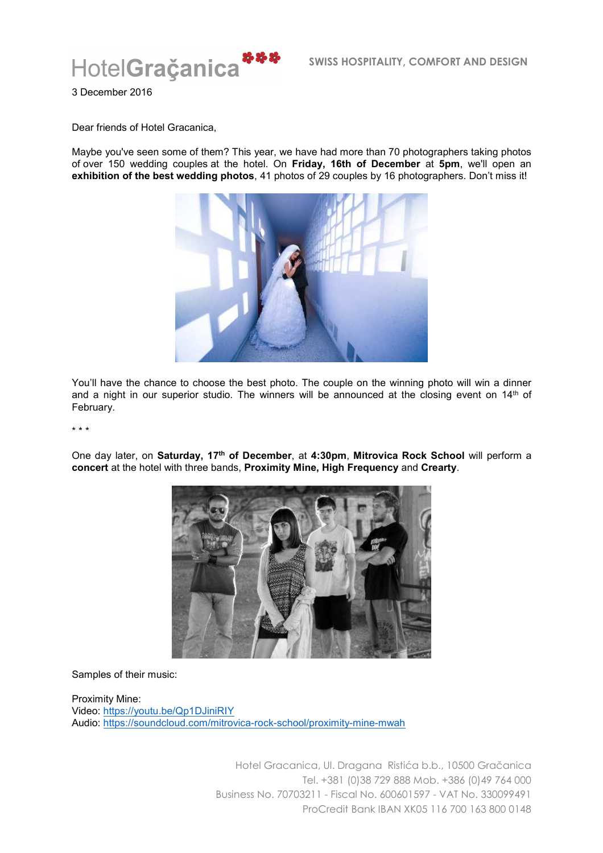

3 December 2016

Dear friends of Hotel Gracanica,

Maybe you've seen some of them? This year, we have had more than 70 photographers taking photos of over 150 wedding couples at the hotel. On **Friday, 16th of December** at **5pm**, we'll open an **exhibition of the best wedding photos**, 41 photos of 29 couples by 16 photographers. Don't miss it!



You'll have the chance to choose the best photo. The couple on the winning photo will win a dinner and a night in our superior studio. The winners will be announced at the closing event on  $14<sup>th</sup>$  of February.

\* \* \*

One day later, on **Saturday, 17th of December**, at **4:30pm**, **Mitrovica Rock School** will perform a **concert** at the hotel with three bands, **Proximity Mine, High Frequency** and **Crearty**.



Samples of their music:

Proximity Mine: Video: https://youtu.be/Qp1DJiniRIY Audio: https://soundcloud.com/mitrovica-rock-school/proximity-mine-mwah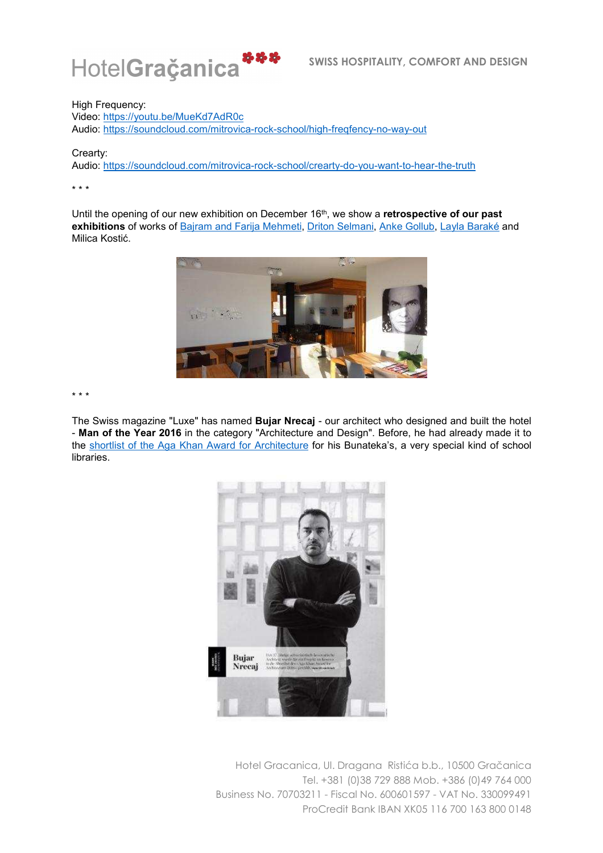

High Frequency:

Video: https://youtu.be/MueKd7AdR0c Audio: https://soundcloud.com/mitrovica-rock-school/high-freqfency-no-way-out

Crearty:

Audio: https://soundcloud.com/mitrovica-rock-school/crearty-do-you-want-to-hear-the-truth

\* \* \*

Until the opening of our new exhibition on December 16th, we show a **retrospective of our past exhibitions** of works of Bajram and Farija Mehmeti, Driton Selmani, Anke Gollub, Layla Baraké and Milica Kostić.



\* \* \*

The Swiss magazine "Luxe" has named **Bujar Nrecaj** - our architect who designed and built the hotel - **Man of the Year 2016** in the category "Architecture and Design". Before, he had already made it to the shortlist of the Aga Khan Award for Architecture for his Bunateka's, a very special kind of school libraries.

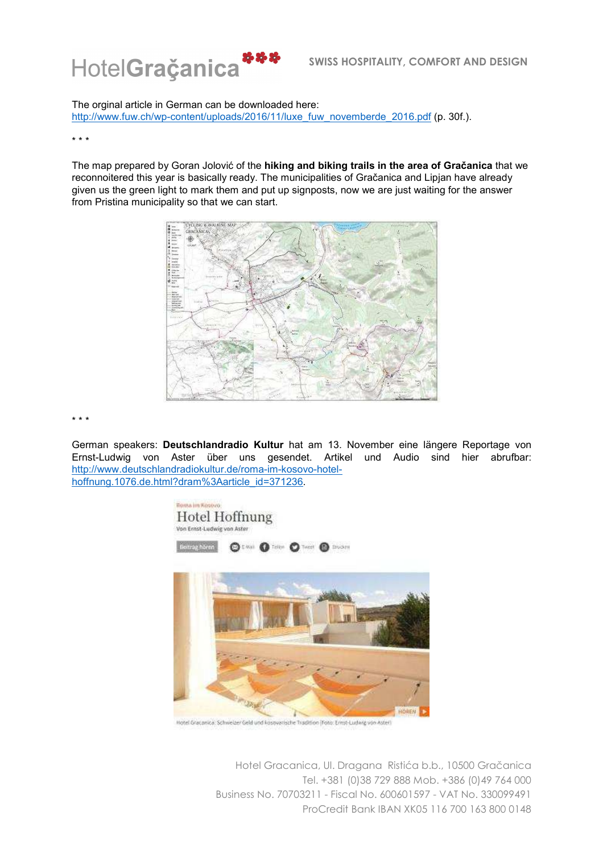

The orginal article in German can be downloaded here:

http://www.fuw.ch/wp-content/uploads/2016/11/luxe\_fuw\_novemberde\_2016.pdf (p. 30f.).

## \* \* \*

The map prepared by Goran Jolović of the **hiking and biking trails in the area of Gračanica** that we reconnoitered this year is basically ready. The municipalities of Gračanica and Lipjan have already given us the green light to mark them and put up signposts, now we are just waiting for the answer from Pristina municipality so that we can start.



\* \* \*

German speakers: **Deutschlandradio Kultur** hat am 13. November eine längere Reportage von Ernst-Ludwig von Aster über uns gesendet. Artikel und Audio sind hier abrufbar: http://www.deutschlandradiokultur.de/roma-im-kosovo-hotelhoffnung.1076.de.html?dram%3Aarticle\_id=371236.



Hotel Gracanica: Schweizer Geld und kosovarische Tradition (Foto: Ernst-Ludwig von Aster)